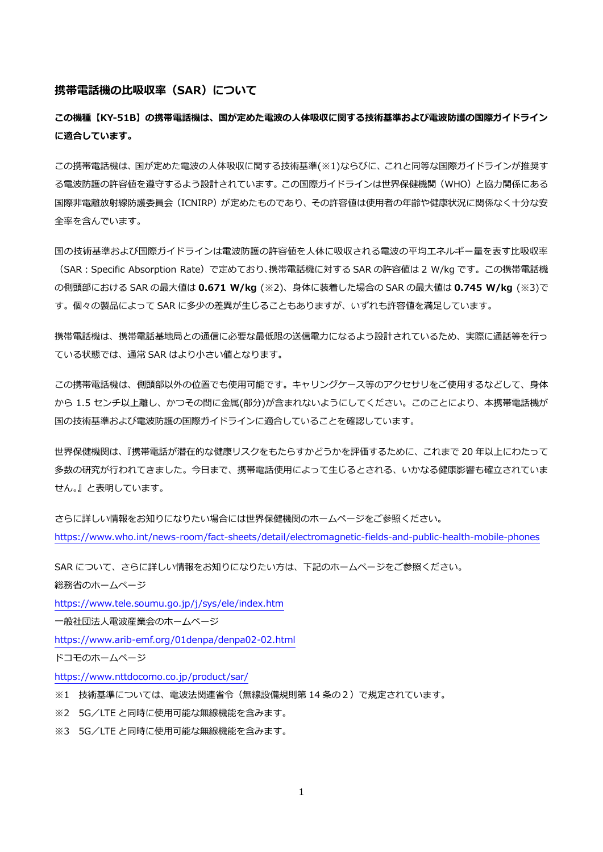## **携帯電話機の比吸収率(SAR)について**

**この機種【KY-51B】の携帯電話機は、国が定めた電波の人体吸収に関する技術基準および電波防護の国際ガイドライン に適合しています。**

この携帯電話機は、国が定めた電波の人体吸収に関する技術基準(※1)ならびに、これと同等な国際ガイドラインが推奨す る電波防護の許容値を遵守するよう設計されています。この国際ガイドラインは世界保健機関(WHO)と協力関係にある 国際非電離放射線防護委員会(ICNIRP)が定めたものであり、その許容値は使用者の年齢や健康状況に関係なく十分な安 全率を含んでいます。

国の技術基準および国際ガイドラインは電波防護の許容値を人体に吸収される電波の平均エネルギー量を表す比吸収率 (SAR:Specific Absorption Rate)で定めており、携帯電話機に対する SAR の許容値は 2 W/kg です。この携帯電話機 の側頭部における SAR の最大値は **0.671 W/kg** (※2)、身体に装着した場合の SAR の最大値は **0.745 W/kg** (※3)で す。個々の製品によって SAR に多少の差異が生じることもありますが、いずれも許容値を満足しています。

携帯電話機は、携帯電話基地局との通信に必要な最低限の送信電力になるよう設計されているため、実際に通話等を行っ ている状態では、通常 SAR はより小さい値となります。

この携帯電話機は、側頭部以外の位置でも使用可能です。キャリングケース等のアクセサリをご使用するなどして、身体 から 1.5 センチ以上離し、かつその間に金属(部分)が含まれないようにしてください。このことにより、本携帯電話機が 国の技術基準および電波防護の国際ガイドラインに適合していることを確認しています。

世界保健機関は、『携帯電話が潜在的な健康リスクをもたらすかどうかを評価するために、これまで 20 年以上にわたって 多数の研究が行われてきました。今日まで、携帯電話使用によって生じるとされる、いかなる健康影響も確立されていま せん。』と表明しています。

さらに詳しい情報をお知りになりたい場合には世界保健機関のホームページをご参照ください。 <https://www.who.int/news-room/fact-sheets/detail/electromagnetic-fields-and-public-health-mobile-phones>

SAR について、さらに詳しい情報をお知りになりたい方は、下記のホームページをご参照ください。

総務省のホームページ

<https://www.tele.soumu.go.jp/j/sys/ele/index.htm>

一般社団法人電波産業会のホームページ

<https://www.arib-emf.org/01denpa/denpa02-02.html>

ドコモのホームページ

<https://www.nttdocomo.co.jp/product/sar/>

※1 技術基準については、電波法関連省令(無線設備規則第 14 条の2)で規定されています。

※2 5G/LTE と同時に使用可能な無線機能を含みます。

※3 5G/LTE と同時に使用可能な無線機能を含みます。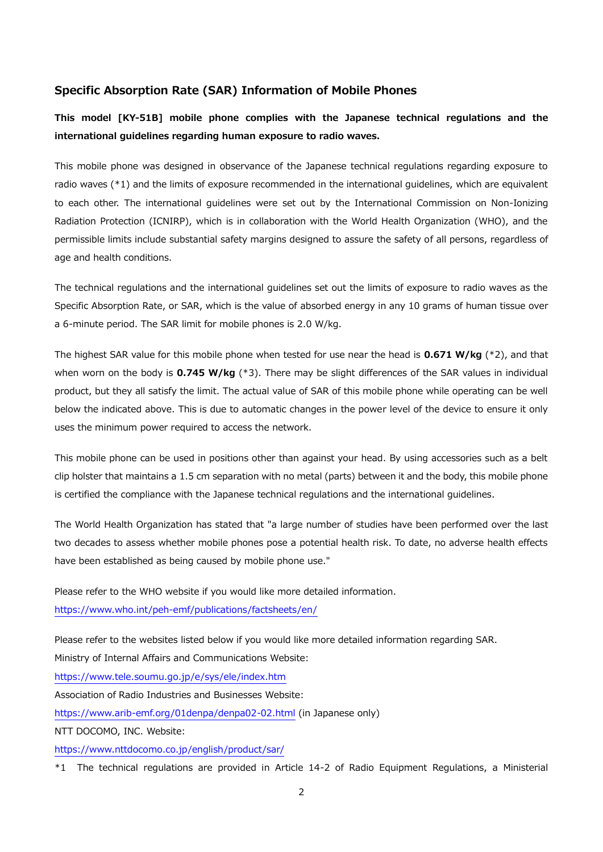## **Specific Absorption Rate (SAR) Information of Mobile Phones**

**This model [KY-51B] mobile phone complies with the Japanese technical regulations and the international guidelines regarding human exposure to radio waves.**

This mobile phone was designed in observance of the Japanese technical regulations regarding exposure to radio waves (\*1) and the limits of exposure recommended in the international guidelines, which are equivalent to each other. The international guidelines were set out by the International Commission on Non-Ionizing Radiation Protection (ICNIRP), which is in collaboration with the World Health Organization (WHO), and the permissible limits include substantial safety margins designed to assure the safety of all persons, regardless of age and health conditions.

The technical regulations and the international guidelines set out the limits of exposure to radio waves as the Specific Absorption Rate, or SAR, which is the value of absorbed energy in any 10 grams of human tissue over a 6-minute period. The SAR limit for mobile phones is 2.0 W/kg.

The highest SAR value for this mobile phone when tested for use near the head is **0.671 W/kg** (\*2), and that when worn on the body is **0.745 W/kg** (\*3). There may be slight differences of the SAR values in individual product, but they all satisfy the limit. The actual value of SAR of this mobile phone while operating can be well below the indicated above. This is due to automatic changes in the power level of the device to ensure it only uses the minimum power required to access the network.

This mobile phone can be used in positions other than against your head. By using accessories such as a belt clip holster that maintains a 1.5 cm separation with no metal (parts) between it and the body, this mobile phone is certified the compliance with the Japanese technical regulations and the international guidelines.

The World Health Organization has stated that "a large number of studies have been performed over the last two decades to assess whether mobile phones pose a potential health risk. To date, no adverse health effects have been established as being caused by mobile phone use."

Please refer to the WHO website if you would like more detailed information. <https://www.who.int/peh-emf/publications/factsheets/en/>

Please refer to the websites listed below if you would like more detailed information regarding SAR.

Ministry of Internal Affairs and Communications Website:

<https://www.tele.soumu.go.jp/e/sys/ele/index.htm>

Association of Radio Industries and Businesses Website:

<https://www.arib-emf.org/01denpa/denpa02-02.html> (in Japanese only)

NTT DOCOMO, INC. Website:

<https://www.nttdocomo.co.jp/english/product/sar/>

\*1 The technical regulations are provided in Article 14-2 of Radio Equipment Regulations, a Ministerial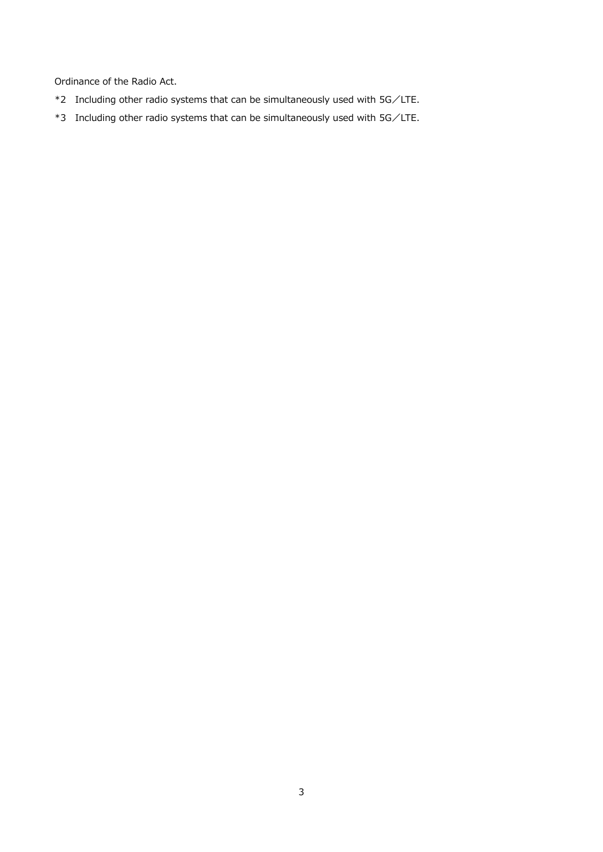Ordinance of the Radio Act.

- \*2 Including other radio systems that can be simultaneously used with 5G/LTE.
- \*3 Including other radio systems that can be simultaneously used with 5G/LTE.